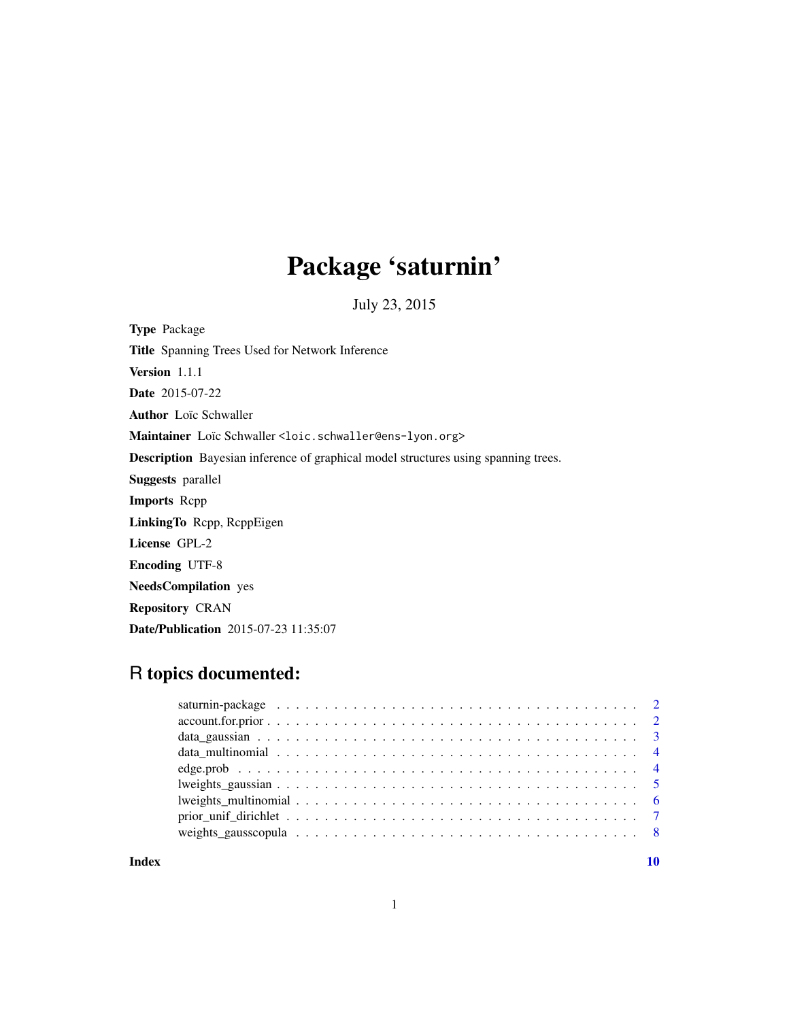# Package 'saturnin'

July 23, 2015

Type Package Title Spanning Trees Used for Network Inference Version 1.1.1 Date 2015-07-22 Author Loïc Schwaller Maintainer Loïc Schwaller<loic.schwaller@ens-lyon.org> Description Bayesian inference of graphical model structures using spanning trees. Suggests parallel Imports Rcpp LinkingTo Rcpp, RcppEigen License GPL-2 Encoding UTF-8 NeedsCompilation yes Repository CRAN Date/Publication 2015-07-23 11:35:07

# R topics documented:

 $\blacksquare$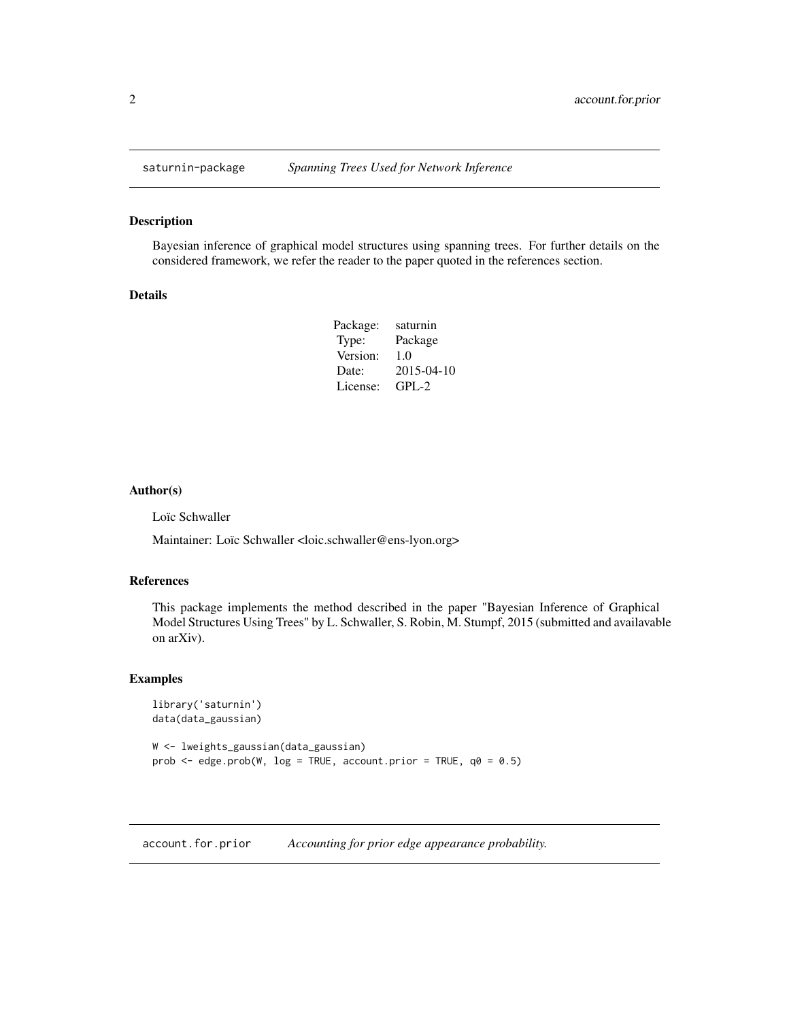<span id="page-1-0"></span>

#### Description

Bayesian inference of graphical model structures using spanning trees. For further details on the considered framework, we refer the reader to the paper quoted in the references section.

#### Details

| saturnin   |
|------------|
| Package    |
| 1.0        |
| 2015-04-10 |
| $GPI - 2$  |
|            |

#### Author(s)

Loïc Schwaller

Maintainer: Loïc Schwaller <loic.schwaller@ens-lyon.org>

# References

This package implements the method described in the paper "Bayesian Inference of Graphical Model Structures Using Trees" by L. Schwaller, S. Robin, M. Stumpf, 2015 (submitted and availavable on arXiv).

#### Examples

```
library('saturnin')
data(data_gaussian)
W <- lweights_gaussian(data_gaussian)
prob \leq edge.prob(W, log = TRUE, account.prior = TRUE, q0 = 0.5)
```
account.for.prior *Accounting for prior edge appearance probability.*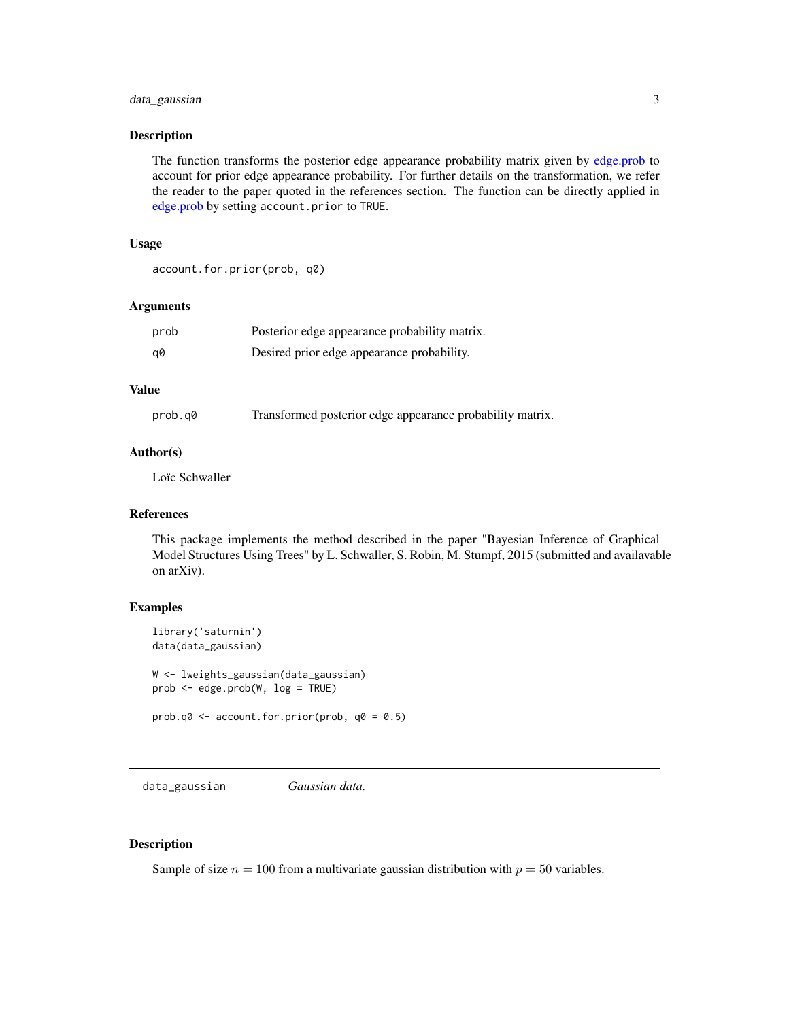# <span id="page-2-0"></span>data\_gaussian 3

#### Description

The function transforms the posterior edge appearance probability matrix given by [edge.prob](#page-3-1) to account for prior edge appearance probability. For further details on the transformation, we refer the reader to the paper quoted in the references section. The function can be directly applied in [edge.prob](#page-3-1) by setting account.prior to TRUE.

#### Usage

```
account.for.prior(prob, q0)
```
#### Arguments

| prob | Posterior edge appearance probability matrix. |
|------|-----------------------------------------------|
| a0   | Desired prior edge appearance probability.    |

# Value

| prob.q0 | Transformed posterior edge appearance probability matrix. |  |  |  |
|---------|-----------------------------------------------------------|--|--|--|
|         |                                                           |  |  |  |

# Author(s)

Loïc Schwaller

# References

This package implements the method described in the paper "Bayesian Inference of Graphical Model Structures Using Trees" by L. Schwaller, S. Robin, M. Stumpf, 2015 (submitted and availavable on arXiv).

#### Examples

```
library('saturnin')
data(data_gaussian)
W <- lweights_gaussian(data_gaussian)
prob <- edge.prob(W, log = TRUE)
prob.q0 <- account.for.prior(prob, q0 = 0.5)
```
data\_gaussian *Gaussian data.*

# Description

Sample of size  $n = 100$  from a multivariate gaussian distribution with  $p = 50$  variables.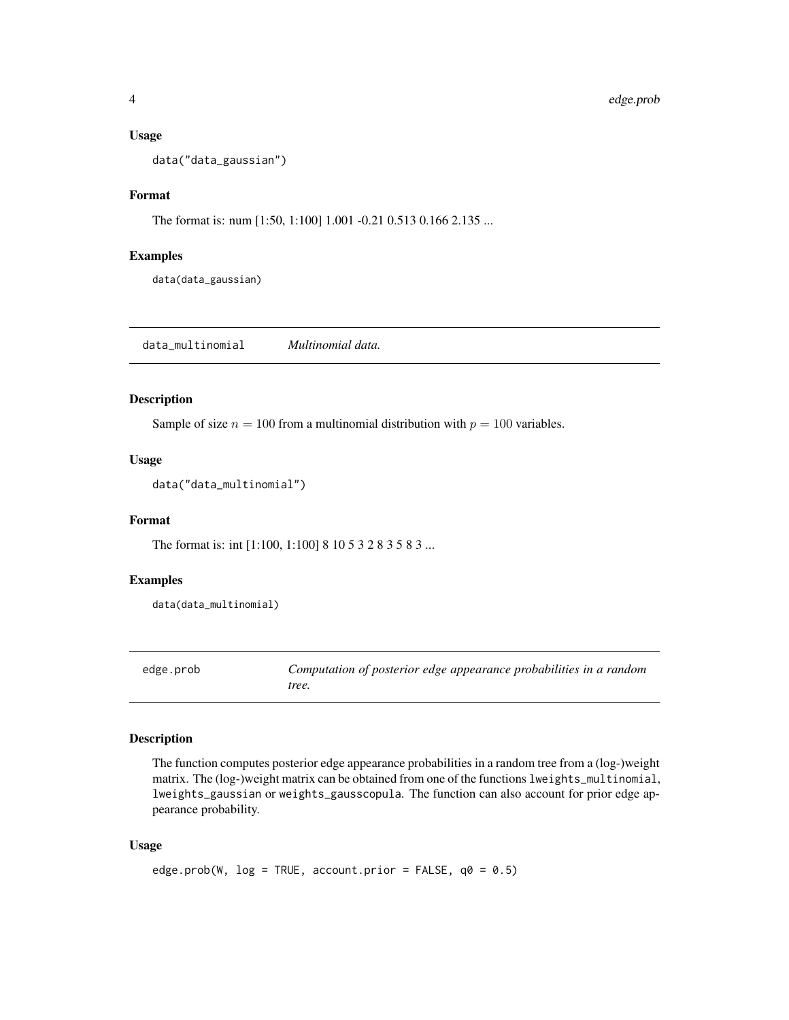#### Usage

data("data\_gaussian")

# Format

The format is: num [1:50, 1:100] 1.001 -0.21 0.513 0.166 2.135 ...

#### Examples

data(data\_gaussian)

data\_multinomial *Multinomial data.*

#### Description

Sample of size  $n = 100$  from a multinomial distribution with  $p = 100$  variables.

# Usage

```
data("data_multinomial")
```
#### Format

The format is: int [1:100, 1:100] 8 10 5 3 2 8 3 5 8 3 ...

# Examples

data(data\_multinomial)

<span id="page-3-1"></span>edge.prob *Computation of posterior edge appearance probabilities in a random tree.*

# Description

The function computes posterior edge appearance probabilities in a random tree from a (log-)weight matrix. The (log-)weight matrix can be obtained from one of the functions lweights\_multinomial, lweights\_gaussian or weights\_gausscopula. The function can also account for prior edge appearance probability.

#### Usage

```
edge.prob(W, log = TRUE, account.prior = FALSE, q0 = 0.5)
```
<span id="page-3-0"></span>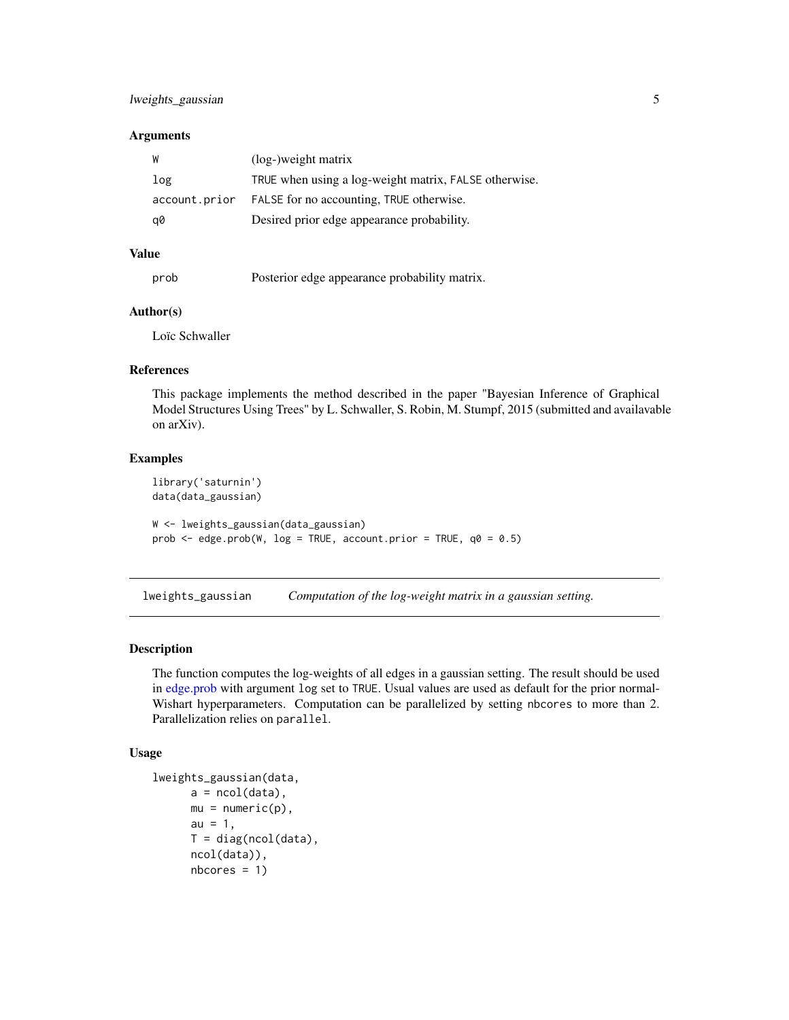#### <span id="page-4-0"></span>**Arguments**

| W   | (log-)weight matrix                                    |
|-----|--------------------------------------------------------|
| log | TRUE when using a log-weight matrix, FALSE otherwise.  |
|     | account prior FALSE for no accounting, TRUE otherwise. |
| q0  | Desired prior edge appearance probability.             |

# Value

prob Posterior edge appearance probability matrix.

# Author(s)

Loïc Schwaller

# References

This package implements the method described in the paper "Bayesian Inference of Graphical Model Structures Using Trees" by L. Schwaller, S. Robin, M. Stumpf, 2015 (submitted and availavable on arXiv).

#### Examples

```
library('saturnin')
data(data_gaussian)
W <- lweights_gaussian(data_gaussian)
prob \leq edge.prob(W, log = TRUE, account.prior = TRUE, q0 = 0.5)
```
lweights\_gaussian *Computation of the log-weight matrix in a gaussian setting.*

#### Description

The function computes the log-weights of all edges in a gaussian setting. The result should be used in [edge.prob](#page-3-1) with argument log set to TRUE. Usual values are used as default for the prior normal-Wishart hyperparameters. Computation can be parallelized by setting nbcores to more than 2. Parallelization relies on parallel.

#### Usage

```
lweights_gaussian(data,
      a = \text{ncol}(data),
      mu = numeric(p),
      au = 1,T = diag(ncol(data),ncol(data)),
      nbcores = 1)
```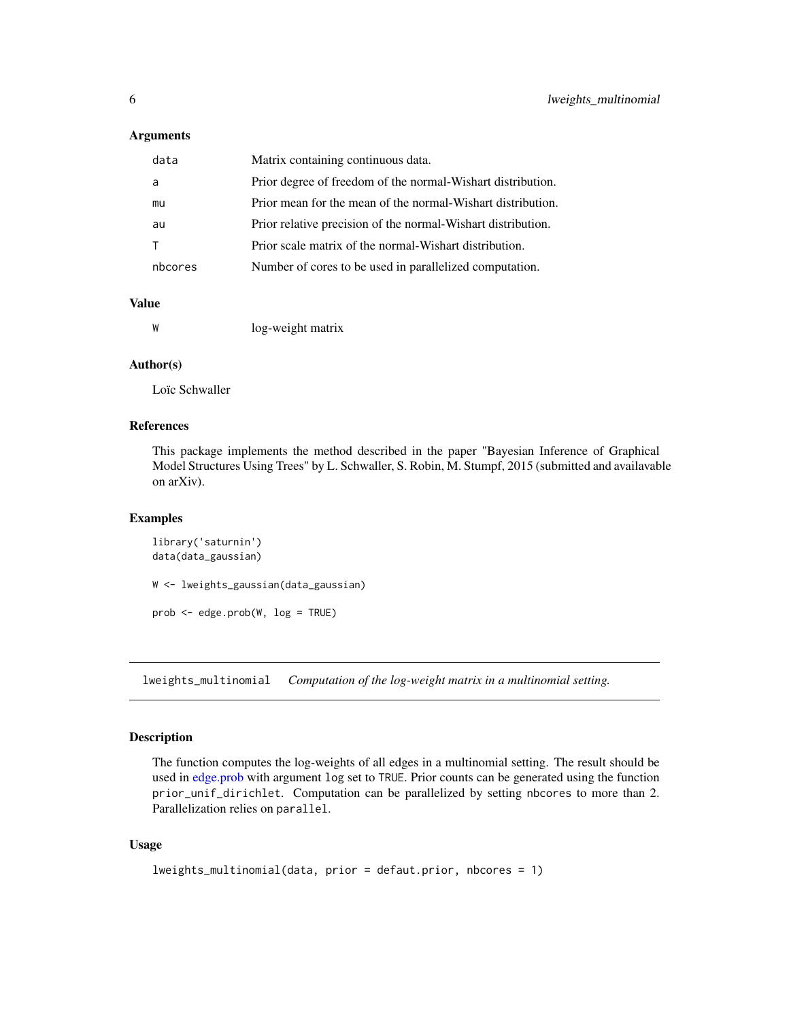#### <span id="page-5-0"></span>**Arguments**

| data    | Matrix containing continuous data.                           |
|---------|--------------------------------------------------------------|
| a       | Prior degree of freedom of the normal-Wishart distribution.  |
| mu      | Prior mean for the mean of the normal-Wishart distribution.  |
| au      | Prior relative precision of the normal-Wishart distribution. |
|         | Prior scale matrix of the normal-Wishart distribution.       |
| nbcores | Number of cores to be used in parallelized computation.      |
|         |                                                              |

# Value

W log-weight matrix

### Author(s)

Loïc Schwaller

# References

This package implements the method described in the paper "Bayesian Inference of Graphical Model Structures Using Trees" by L. Schwaller, S. Robin, M. Stumpf, 2015 (submitted and availavable on arXiv).

# Examples

```
library('saturnin')
data(data_gaussian)
W <- lweights_gaussian(data_gaussian)
prob <- edge.prob(W, log = TRUE)
```
<span id="page-5-1"></span>lweights\_multinomial *Computation of the log-weight matrix in a multinomial setting.*

#### Description

The function computes the log-weights of all edges in a multinomial setting. The result should be used in [edge.prob](#page-3-1) with argument log set to TRUE. Prior counts can be generated using the function prior\_unif\_dirichlet. Computation can be parallelized by setting nbcores to more than 2. Parallelization relies on parallel.

# Usage

```
lweights_multinomial(data, prior = defaut.prior, nbcores = 1)
```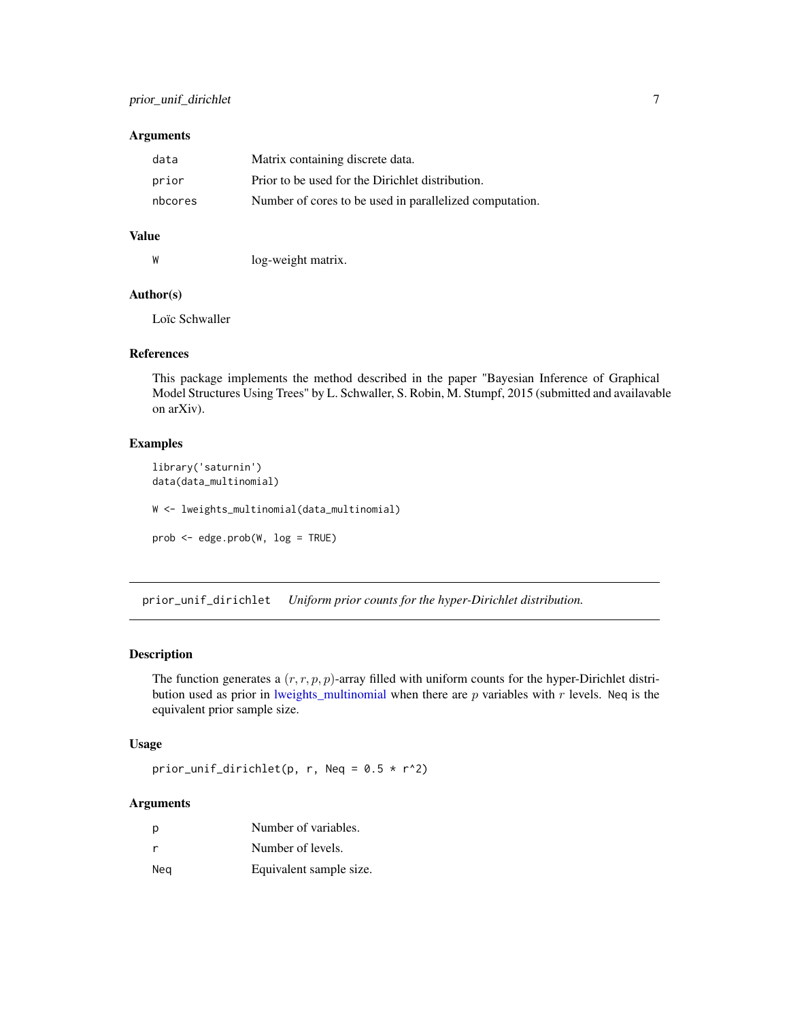# <span id="page-6-0"></span>Arguments

| data    | Matrix containing discrete data.                        |
|---------|---------------------------------------------------------|
| prior   | Prior to be used for the Dirichlet distribution.        |
| nbcores | Number of cores to be used in parallelized computation. |

# Value

W log-weight matrix.

# Author(s)

Loïc Schwaller

# References

This package implements the method described in the paper "Bayesian Inference of Graphical Model Structures Using Trees" by L. Schwaller, S. Robin, M. Stumpf, 2015 (submitted and availavable on arXiv).

# Examples

```
library('saturnin')
data(data_multinomial)
W <- lweights_multinomial(data_multinomial)
prob <- edge.prob(W, log = TRUE)
```
prior\_unif\_dirichlet *Uniform prior counts for the hyper-Dirichlet distribution.*

# Description

The function generates a  $(r, r, p, p)$ -array filled with uniform counts for the hyper-Dirichlet distribution used as prior in [lweights\\_multinomial](#page-5-1) when there are  $p$  variables with  $r$  levels. Neq is the equivalent prior sample size.

# Usage

```
prior_unif_dirichlet(p, r, Neq = 0.5 * r^2)
```
# Arguments

| р   | Number of variables.    |
|-----|-------------------------|
| r   | Number of levels.       |
| Nea | Equivalent sample size. |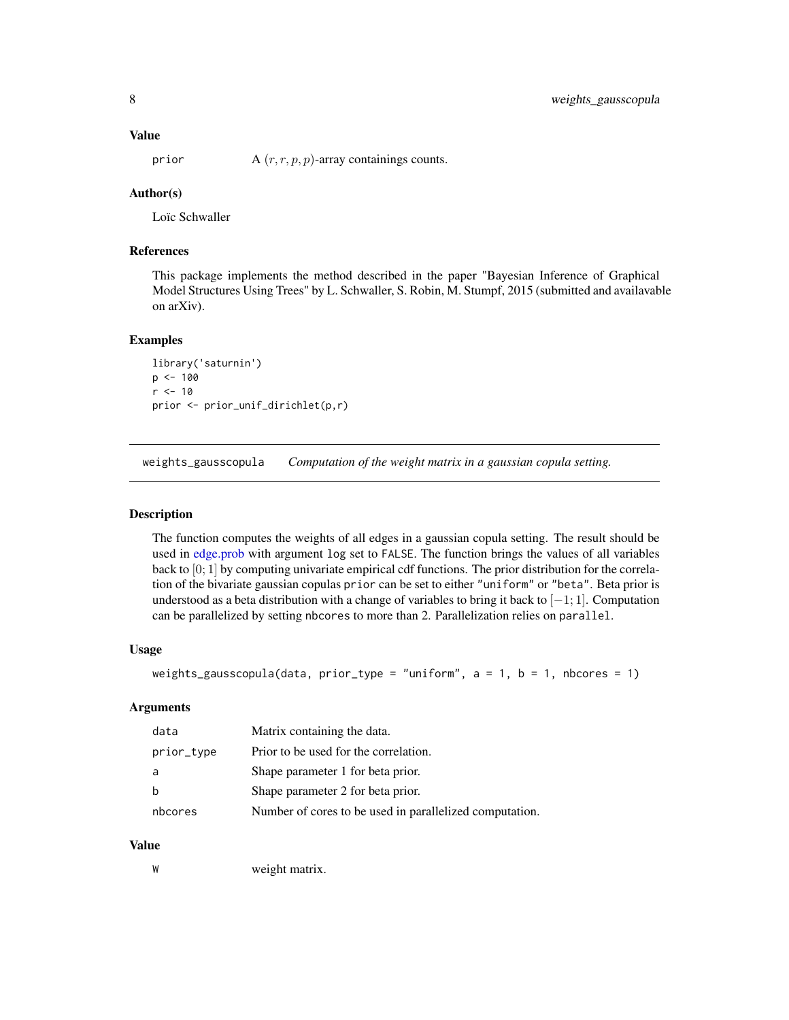# <span id="page-7-0"></span>Value

prior  $A(r, r, p, p)$ -array containings counts.

# Author(s)

Loïc Schwaller

# References

This package implements the method described in the paper "Bayesian Inference of Graphical Model Structures Using Trees" by L. Schwaller, S. Robin, M. Stumpf, 2015 (submitted and availavable on arXiv).

# Examples

library('saturnin')  $p$  <- 100  $r$  <- 10 prior <- prior\_unif\_dirichlet(p,r)

weights\_gausscopula *Computation of the weight matrix in a gaussian copula setting.*

#### Description

The function computes the weights of all edges in a gaussian copula setting. The result should be used in [edge.prob](#page-3-1) with argument log set to FALSE. The function brings the values of all variables back to [0; 1] by computing univariate empirical cdf functions. The prior distribution for the correlation of the bivariate gaussian copulas prior can be set to either "uniform" or "beta". Beta prior is understood as a beta distribution with a change of variables to bring it back to  $[-1; 1]$ . Computation can be parallelized by setting nbcores to more than 2. Parallelization relies on parallel.

#### Usage

```
weights_gausscopula(data, prior_type = "uniform", a = 1, b = 1, nbcores = 1)
```
# Arguments

| data       | Matrix containing the data.                             |
|------------|---------------------------------------------------------|
| prior_type | Prior to be used for the correlation.                   |
| a          | Shape parameter 1 for beta prior.                       |
| h          | Shape parameter 2 for beta prior.                       |
| nbcores    | Number of cores to be used in parallelized computation. |

# Value

W weight matrix.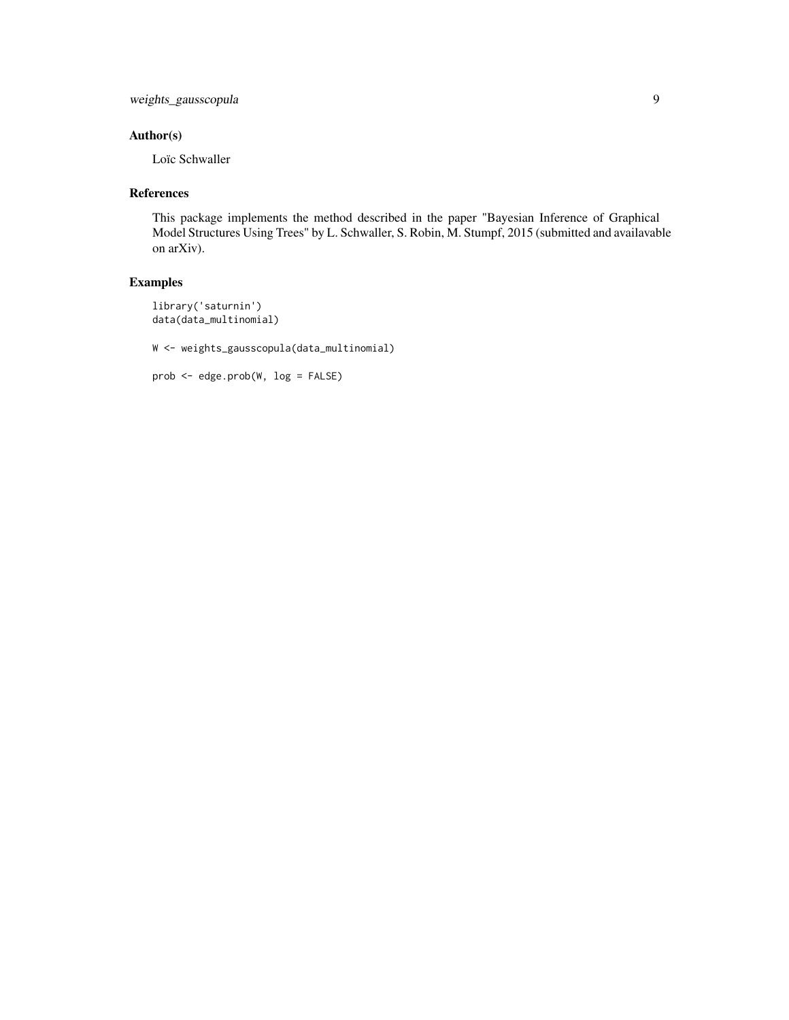weights\_gausscopula 9

# Author(s)

Loïc Schwaller

# References

This package implements the method described in the paper "Bayesian Inference of Graphical Model Structures Using Trees" by L. Schwaller, S. Robin, M. Stumpf, 2015 (submitted and availavable on arXiv).

# Examples

library('saturnin') data(data\_multinomial)

W <- weights\_gausscopula(data\_multinomial)

```
prob <- edge.prob(W, log = FALSE)
```